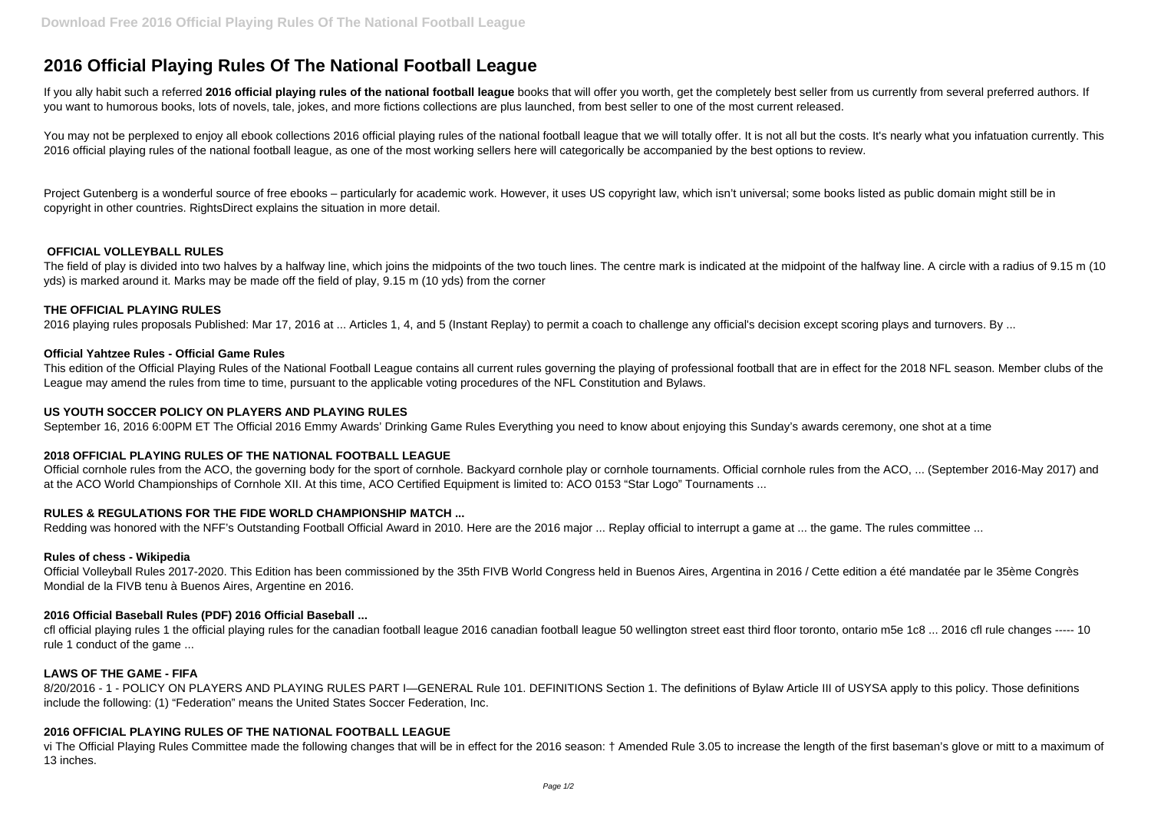# **2016 Official Playing Rules Of The National Football League**

If you ally habit such a referred 2016 official playing rules of the national football league books that will offer you worth, get the completely best seller from us currently from several preferred authors. If you want to humorous books, lots of novels, tale, jokes, and more fictions collections are plus launched, from best seller to one of the most current released.

You may not be perplexed to enjoy all ebook collections 2016 official playing rules of the national football league that we will totally offer. It is not all but the costs. It's nearly what you infatuation currently. This 2016 official playing rules of the national football league, as one of the most working sellers here will categorically be accompanied by the best options to review.

Project Gutenberg is a wonderful source of free ebooks – particularly for academic work. However, it uses US copyright law, which isn't universal; some books listed as public domain might still be in copyright in other countries. RightsDirect explains the situation in more detail.

This edition of the Official Playing Rules of the National Football League contains all current rules governing the playing of professional football that are in effect for the 2018 NFL season. Member clubs of the League may amend the rules from time to time, pursuant to the applicable voting procedures of the NFL Constitution and Bylaws.

## **OFFICIAL VOLLEYBALL RULES**

The field of play is divided into two halves by a halfway line, which joins the midpoints of the two touch lines. The centre mark is indicated at the midpoint of the halfway line. A circle with a radius of 9.15 m (10 yds) is marked around it. Marks may be made off the field of play, 9.15 m (10 yds) from the corner

#### **THE OFFICIAL PLAYING RULES**

2016 playing rules proposals Published: Mar 17, 2016 at ... Articles 1, 4, and 5 (Instant Replay) to permit a coach to challenge any official's decision except scoring plays and turnovers. By ...

## **Official Yahtzee Rules - Official Game Rules**

8/20/2016 - 1 - POLICY ON PLAYERS AND PLAYING RULES PART I—GENERAL Rule 101. DEFINITIONS Section 1. The definitions of Bylaw Article III of USYSA apply to this policy. Those definitions include the following: (1) "Federation" means the United States Soccer Federation, Inc.

#### **US YOUTH SOCCER POLICY ON PLAYERS AND PLAYING RULES**

September 16, 2016 6:00PM ET The Official 2016 Emmy Awards' Drinking Game Rules Everything you need to know about enjoying this Sunday's awards ceremony, one shot at a time

# **2018 OFFICIAL PLAYING RULES OF THE NATIONAL FOOTBALL LEAGUE**

Official cornhole rules from the ACO, the governing body for the sport of cornhole. Backyard cornhole play or cornhole tournaments. Official cornhole rules from the ACO, ... (September 2016-May 2017) and at the ACO World Championships of Cornhole XII. At this time, ACO Certified Equipment is limited to: ACO 0153 "Star Logo" Tournaments ...

# **RULES & REGULATIONS FOR THE FIDE WORLD CHAMPIONSHIP MATCH ...**

Redding was honored with the NFF's Outstanding Football Official Award in 2010. Here are the 2016 major ... Replay official to interrupt a game at ... the game. The rules committee ...

#### **Rules of chess - Wikipedia**

Official Volleyball Rules 2017-2020. This Edition has been commissioned by the 35th FIVB World Congress held in Buenos Aires, Argentina in 2016 / Cette edition a été mandatée par le 35ème Congrès Mondial de la FIVB tenu à Buenos Aires, Argentine en 2016.

# **2016 Official Baseball Rules (PDF) 2016 Official Baseball ...**

cfl official playing rules 1 the official playing rules for the canadian football league 2016 canadian football league 50 wellington street east third floor toronto, ontario m5e 1c8 ... 2016 cfl rule changes ----- 10 rule 1 conduct of the game ...

# **LAWS OF THE GAME - FIFA**

# **2016 OFFICIAL PLAYING RULES OF THE NATIONAL FOOTBALL LEAGUE**

vi The Official Playing Rules Committee made the following changes that will be in effect for the 2016 season: † Amended Rule 3.05 to increase the length of the first baseman's glove or mitt to a maximum of 13 inches.